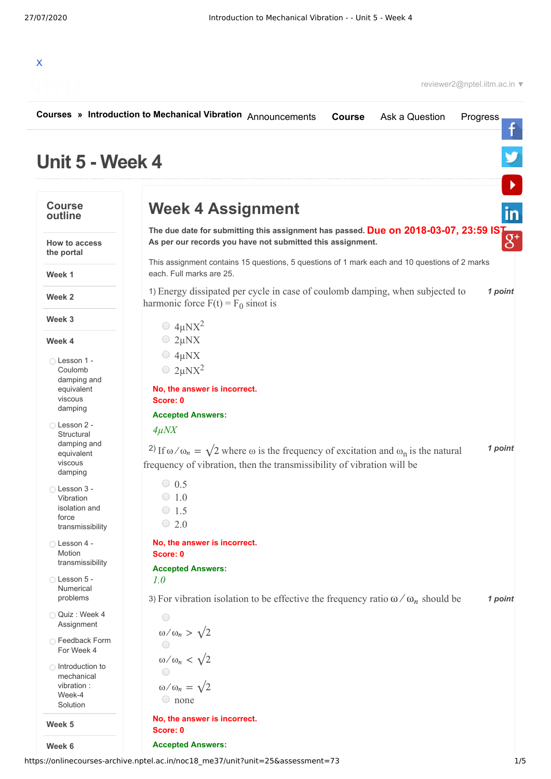

|                                    | Courses » Introduction to Mechanical Vibration Announcements<br><b>Course</b><br>Ask a Question<br>Progress                                     |         |
|------------------------------------|-------------------------------------------------------------------------------------------------------------------------------------------------|---------|
| Unit 5 - Week 4                    |                                                                                                                                                 |         |
| <b>Course</b><br>outline           | <b>Week 4 Assignment</b>                                                                                                                        |         |
| <b>How to access</b><br>the portal | The due date for submitting this assignment has passed. Due on 2018-03-07, 23:59 IST As per our records you have not submitted this assignment. |         |
| Week 1                             | This assignment contains 15 questions, 5 questions of 1 mark each and 10 questions of 2 marks<br>each. Full marks are 25.                       |         |
| Week 2                             | 1) Energy dissipated per cycle in case of coulomb damping, when subjected to<br>harmonic force $F(t) = F_0$ sinot is                            | 1 point |
| Week 3                             |                                                                                                                                                 |         |
| Week 4                             | $\bigcirc$ 4µNX <sup>2</sup><br>$\bigcirc$ 2µNX                                                                                                 |         |
|                                    | $\bigcirc$ 4µNX                                                                                                                                 |         |
| ◯ Lesson 1 -<br>Coulomb            | $\bigcirc$ 2µNX <sup>2</sup>                                                                                                                    |         |
| damping and                        |                                                                                                                                                 |         |
| equivalent<br>viscous              | No, the answer is incorrect.<br>Score: 0                                                                                                        |         |
| damping                            | <b>Accepted Answers:</b>                                                                                                                        |         |
| ◯ Lesson 2 -                       | $4\mu$ NX                                                                                                                                       |         |
| Structural<br>damping and          |                                                                                                                                                 |         |
| equivalent                         | <sup>2</sup> ) If $\omega/\omega_n = \sqrt{2}$ where $\omega$ is the frequency of excitation and $\omega_n$ is the natural                      | 1 point |
| viscous<br>damping                 | frequency of vibration, then the transmissibility of vibration will be                                                                          |         |
| Lesson 3 -                         | $\circ$ 0.5                                                                                                                                     |         |
| Vibration                          | $\circ$ 1.0                                                                                                                                     |         |
| isolation and<br>force             | $\circ$ 1.5                                                                                                                                     |         |
| transmissibility                   | $\circ$ 2.0                                                                                                                                     |         |
| Lesson 4 -                         | No, the answer is incorrect.                                                                                                                    |         |
| Motion<br>transmissibility         | Score: 0                                                                                                                                        |         |
| Lesson 5 -                         | <b>Accepted Answers:</b><br>1.0                                                                                                                 |         |
| Numerical<br>problems              | 3) For vibration isolation to be effective the frequency ratio $\omega/\omega_n$ should be                                                      | 1 point |
| Quiz: Week 4<br>Assignment         | $\bigcirc$                                                                                                                                      |         |
| ◯ Feedback Form                    | $\omega/\omega_n > \sqrt{2}$                                                                                                                    |         |
| For Week 4                         |                                                                                                                                                 |         |
| ◯ Introduction to                  | $\omega/\omega_n < \sqrt{2}$                                                                                                                    |         |
| mechanical<br>vibration :          | $\omega/\omega_n = \sqrt{2}$                                                                                                                    |         |
| Week-4                             | $\circ$ none                                                                                                                                    |         |
| Solution                           |                                                                                                                                                 |         |
| Week 5                             | No, the answer is incorrect.<br>Score: 0                                                                                                        |         |
| Week 6                             | <b>Accepted Answers:</b>                                                                                                                        |         |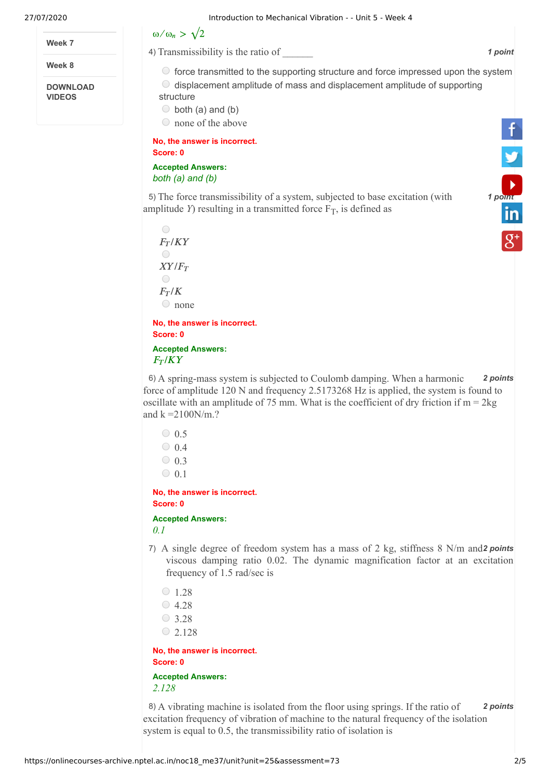**Week 7**

**Week 8**

**DOWNLOAD VIDEOS**



4) Transmissibility is the ratio of  $\blacksquare$ 

 $\circ$  force transmitted to the supporting structure and force impressed upon the system  $\odot$  displacement amplitude of mass and displacement amplitude of supporting

structure  $\circ$  both (a) and (b)

none of the above

**No, the answer is incorrect. Score: 0**

**Accepted Answers:** *both (a) and (b)*

5) The force transmissibility of a system, subjected to base excitation (with **1 [point](https://www.youtube.com/user/nptelhrd)** amplitude *Y*) resulting in a transmitted force  $F_T$ , is defined as

 $\bigcirc$  $F_T/KY$  $\bigcirc$  $XY/F_T$  $\bigcirc$  $F_T/K$  $\circ$  none **No, the answer is incorrect.**

**Score: 0 Accepted Answers:**

 $F_T/KY$ 

6) *2 points* A spring-mass system is subjected to Coulomb damping. When a harmonic force of amplitude 120 N and frequency 2.5173268 Hz is applied, the system is found to oscillate with an amplitude of 75 mm. What is the coefficient of dry friction if  $m = 2kg$ and  $k = 2100$ N/m.?

```
\bigcirc 0.5
   \bigcirc 0.4
   \bigcirc 0.3
   \circ 0.1
No, the answer is incorrect.
```
**Score: 0**

**Accepted Answers:** *0.1*

- 7) A single degree of freedom system has a mass of 2 kg, stiffness 8 N/m and 2 points viscous damping ratio 0.02. The dynamic magnification factor at an excitation frequency of 1.5 rad/sec is
- $\circ$  1.28  $\bigcirc$  4.28  $\bigcirc$  3.28  $\circ$  2.128 **No, the answer is incorrect. Score: 0**

**Accepted Answers:** *2.128*

8) *2 points* A vibrating machine is isolated from the floor using springs. If the ratio of excitation frequency of vibration of machine to the natural frequency of the isolation system is equal to 0.5, the transmissibility ratio of isolation is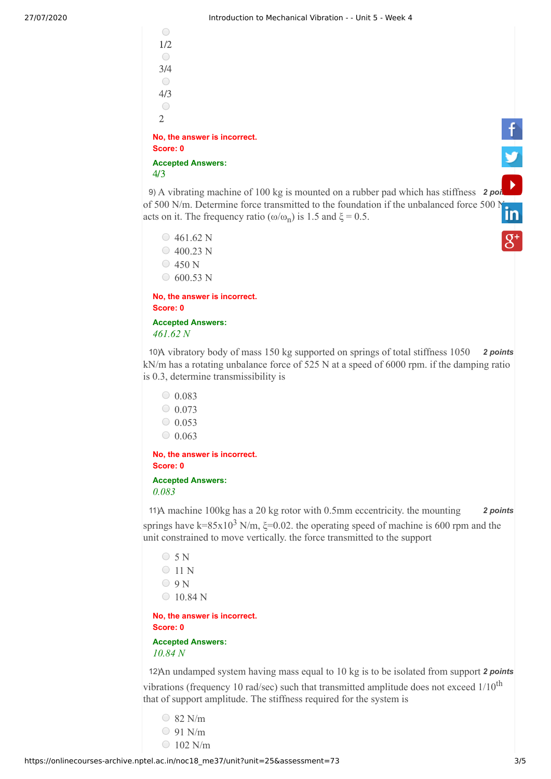

9) A vibrating machine of 100 kg is mounted on a rubber pad which has stiffness 2 [points](https://www.youtube.com/user/nptelhrd) A vibrating machine of 100 kg is mounted on a rubber pad which has stiffness of 50[0 N](https://www.linkedin.com/company/nptel/)/m. Determine force transmitted to the foundation if the unbalanced force 500 N acts on it. The frequency ratio ( $\omega/\omega_n$ ) is 1.5 and  $\xi = 0.5$ .

 $\circ$  461.62 N  $\circ$  400.23 N  $\circ$  450 N  $\circ$  600.53 N

**No, the answer is incorrect. Score: 0 Accepted Answers:**

*461.62 N*

10) A vibratory body of mass 150 kg supported on springs of total stiffness 1050 **2 points** kN/m has a rotating unbalance force of 525 N at a speed of 6000 rpm. if the damping ratio is 0.3, determine transmissibility is

 $\circ$  0.083  $0.073$  $0.053$  $\circ$  0.063

**No, the answer is incorrect. Score: 0**

**Accepted Answers:**

```
0.083
```
11) A machine 100kg has a 20 kg rotor with 0.5mm eccentricity. the mounting **2 points** springs have k=85x10<sup>3</sup> N/m,  $\xi$ =0.02. the operating speed of machine is 600 rpm and the unit constrained to move vertically. the force transmitted to the support

 $\circ$  5 N  $\bigcirc$  11 N  $O_9N$  $\circ$  10.84 N

**No, the answer is incorrect. Score: 0**

**Accepted Answers:** *10.84 N*

12) An undamped system having mass equal to 10 kg is to be isolated from support 2 points vibrations (frequency 10 rad/sec) such that transmitted amplitude does not exceed  $1/10^{th}$ that of support amplitude. The stiffness required for the system is

- $\circ$  82 N/m
- 91 N/m
- $\bigcirc$  102 N/m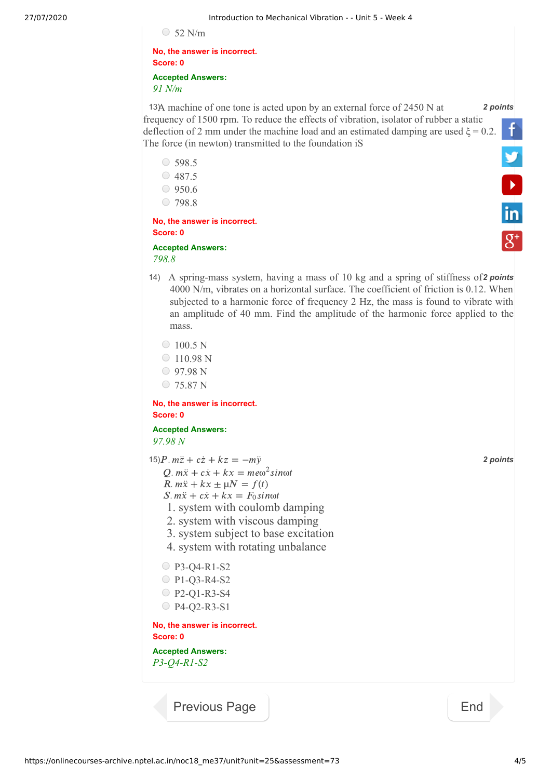| ۰. |  |
|----|--|
|----|--|

**No, the answer is incorrect. Score: 0 Accepted Answers:** *91 N/m* 

13) A machine of one tone is acted upon by an external force of 2450 N at 2 *points* frequency of 1500 rpm. To reduce the effects of vibration, isolator of rubber a static deflection of 2 mm under the machine load and an estimated damping are used  $\xi = 0.2$ . The force (in newton) transmitted to the foundation iS **V**<br>in

 $\circ$  598.5 487.5  $0.9506$  $\circ$  798.8

**No, the answer is incorrect. Score: 0**

## **Accepted Answers:** *798.8*

14) A spring-mass system, having a mass of 10 kg and a spring of stiffness of 2 points 4000 N/m, vibrates on a horizontal surface. The coefficient of friction is 0.12. When subjected to a harmonic force of frequency 2 Hz, the mass is found to vibrate with an amplitude of 40 mm. Find the amplitude of the harmonic force applied to the mass.

 $\circ$  100.5 N

- $\circ$  110.98 N
- 97.98 N
- C 75.87 N

**No, the answer is incorrect. Score: 0**

**Accepted Answers:** *97.98 N*

 $15)P. m\ddot{z} + c\dot{z} + kz = -m\ddot{y}$  2 points 1. system with coulomb damping 2. system with viscous damping 3. system subject to base excitation 4. system with rotating unbalance ○ P3-Q4-R1-S2 P1-Q3-R4-S2 P2-Q1-R3-S4 P4-Q2-R3-S1 **No, the answer is incorrect. Score: 0 Accepted Answers:** *P3-Q4-R1-S2*   $Q. m\ddot{x} + c\dot{x} + kx = me\omega^2 sin\omega t$  $R. m\ddot{x} + kx \pm \mu N = f(t)$  $S. m\ddot{x} + c\dot{x} + kx = F_0 sin\omega t$ 

[Previous Page](https://onlinecourses-archive.nptel.ac.in/noc18_me37/unit?unit=25&lesson=111) [End](https://onlinecourses-archive.nptel.ac.in/noc18_me37/course)